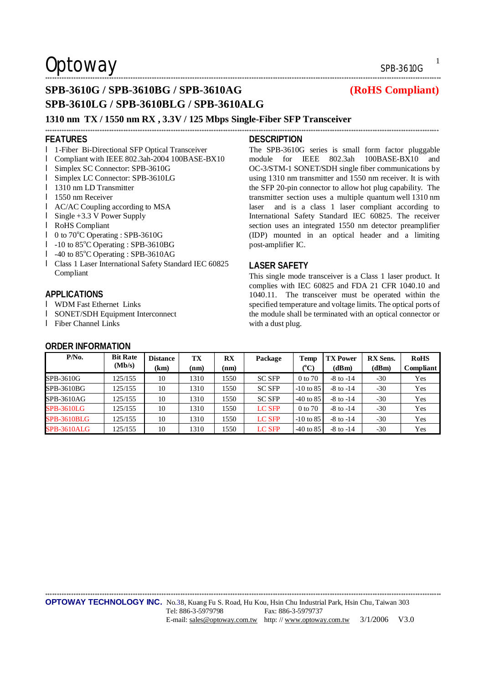### \*\*\*\*\*\*\*\*\*\*\*\*\*\*\*\*\*\*\*\*\*\*\*\*\*\*\*\*\*\*\*\*\*\*\*\*\*\*\*\*\*\*\*\*\*\*\*\*\*\*\*\*\*\*\*\*\*\*\*\*\*\*\*\*\*\*\*\*\*\*\*\*\*\*\*\*\*\*\*\*\*\*\*\*\*\*\*\*\*\*\*\*\*\*\*\*\*\*\*\*\*\*\*\*\*\*\*\*\*\*\*\*\*\*\*\*\*\*\*\*\*\*\*\*\*\*\*\*\*\*\*\*\*\*\*\*\*\*\*\*\*\*\*\*\*\*\*\*\*\*\*\*\*\*\*\*\*\*\*\*\*\*\*\*\*\*\*

## **SPB-3610G / SPB-3610BG / SPB-3610AG (RoHS Compliant) SPB-3610LG / SPB-3610BLG / SPB-3610ALG**

### **1310 nm TX / 1550 nm RX , 3.3V / 125 Mbps Single-Fiber SFP Transceiver**

#### **FEATURES**

- l 1-Fiber Bi-Directional SFP Optical Transceiver
- l Compliant with IEEE 802.3ah-2004 100BASE-BX10
- l Simplex SC Connector: SPB-3610G
- l Simplex LC Connector: SPB-3610LG
- **l** 1310 nm LD Transmitter
- **l** 1550 nm Receiver
- l AC/AC Coupling according to MSA
- l Single +3.3 V Power Supply
- l RoHS Compliant
- $\blacksquare$  0 to 70°C Operating : SPB-3610G
- l -10 to 85°C Operating : SPB-3610BG
- l -40 to 85°C Operating : SPB-3610AG
- l Class 1 Laser International Safety Standard IEC 60825 Compliant

#### **APPLICATIONS**

- l WDM Fast Ethernet Links
- l SONET/SDH Equipment Interconnect
- l Fiber Channel Links

### **ORDER INFORMATION**

**DESCRIPTION** 

\*\*\*\*\*\*\*\*\*\*\*\*\*\*\*\*\*\*\*\*\*\*\*\*\*\*\*\*\*\*\*\*\*\*\*\*\*\*\*\*\*\*\*\*\*\*\*\*\*\*\*\*\*\*\*\*\*\*\*\*\*\*\*\*\*\*\*\*\*\*\*\*\*\*\*\*\*\*\*\*\*\*\*\*\*\*\*\*\*\*\*\*\*\*\*\*\*\*\*\*\*\*\*\*\*\*\*\*\*\*\*\*\*\*\*\*\*\*\*\*\*\*\*\*\*\*\*\*\*\*\*\*\*\*\*\*\*\*\*\*\*\*\*\*\*\*\*\*\*\*\*\*\*\*\*\*\*\*\*\*\*\*\*\*\*\*

The SPB-3610G series is small form factor pluggable module for IEEE 802.3ah 100BASE-BX10 and OC-3/STM-1 SONET/SDH single fiber communications by using 1310 nm transmitter and 1550 nm receiver. It is with the SFP 20-pin connector to allow hot plug capability. The transmitter section uses a multiple quantum well 1310 nm laser and is a class 1 laser compliant according to International Safety Standard IEC 60825. The receiver section uses an integrated 1550 nm detector preamplifier (IDP) mounted in an optical header and a limiting post-amplifier IC.

#### **LASER SAFETY**

This single mode transceiver is a Class 1 laser product. It complies with IEC 60825 and FDA 21 CFR 1040.10 and 1040.11. The transceiver must be operated within the specified temperature and voltage limits. The optical ports of the module shall be terminated with an optical connector or with a dust plug.

| $P/N0$ .           | <b>Bit Rate</b><br>(Mb/s) | <b>Distance</b><br>(km) | ТX<br>(nm) | $\mathbf{R} \mathbf{X}$<br>(nm) | Package       | Temp<br>$(^{\rm o}C)$ | <b>TX Power</b><br>(dBm) | <b>RX</b> Sens.<br>(dBm) | <b>RoHS</b><br>Compliant |
|--------------------|---------------------------|-------------------------|------------|---------------------------------|---------------|-----------------------|--------------------------|--------------------------|--------------------------|
| SPB-3610G          | 125/155                   | 10                      | 1310       | 1550                            | <b>SC SFP</b> | 0 to 70               | $-8$ to $-14$            | $-30$                    | Yes                      |
| SPB-3610BG         | 125/155                   | 10                      | 1310       | 1550                            | <b>SC SFP</b> | $-10$ to 85           | $-8$ to $-14$            | $-30$                    | Yes                      |
| SPB-3610AG         | 125/155                   | 10                      | 1310       | 1550                            | <b>SC SFP</b> | $-40$ to 85           | $-8$ to $-14$            | $-30$                    | Yes                      |
| SPB-3610LG         | 125/155                   | 10                      | 1310       | 1550                            | <b>LC SFP</b> | 0 to 70               | $-8$ to $-14$            | $-30$                    | Yes                      |
| <b>SPB-3610BLG</b> | 125/155                   | 10                      | 1310       | 1550                            | LC SFP        | $-10$ to 85           | $-8$ to $-14$            | $-30$                    | Yes                      |
| SPB-3610ALG        | 125/155                   | 10                      | 1310       | 1550                            | <b>LC SFP</b> | $-40$ to 85           | $-8$ to $-14$            | $-30$                    | Yes                      |

\*\*\*\*\*\*\*\*\*\*\*\*\*\*\*\*\*\*\*\*\*\*\*\*\*\*\*\*\*\*\*\*\*\*\*\*\*\*\*\*\*\*\*\*\*\*\*\*\*\*\*\*\*\*\*\*\*\*\*\*\*\*\*\*\*\*\*\*\*\*\*\*\*\*\*\*\*\*\*\*\*\*\*\*\*\*\*\*\*\*\*\*\*\*\*\*\*\*\*\*\*\*\*\*\*\*\*\*\*\*\*\*\*\*\*\*\*\*\*\*\*\*\*\*\*\*\*\*\*\*\*\*\*\*\*\*\*\*\*\*\*\*\*\*\*\*\*\*\*\*\*\*\*\*\*\*\*\*\*\*\*\*\*\*\*\*\*

1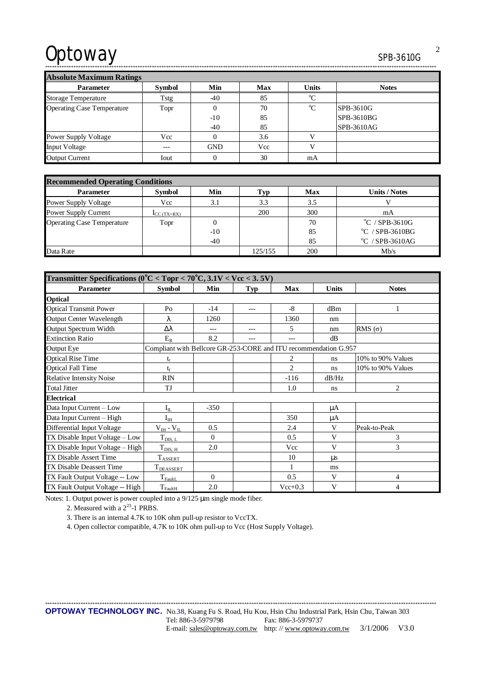\*\*\*\*\*\*\*\*\*\*\*\*\*\*\*\*\*\*\*\*\*\*\*\*\*\*\*\*\*\*\*\*\*\*\*\*\*\*\*\*\*\*\*\*\*\*\*\*\*\*\*\*\*\*\*\*\*\*\*\*\*\*\*\*\*\*\*\*\*\*\*\*\*\*\*\*\*\*\*\*\*\*\*\*\*\*\*\*\*\*\*\*\*\*\*\*\*\*\*\*\*\*\*\*\*\*\*\*\*\*\*\*\*\*\*\*\*\*\*\*\*\*\*\*\*\*\*\*\*\*\*\*\*\*\*\*\*\*\*\*\*\*\*\*\*\*\*\*\*\*\*\*\*\*\*\*\*\*\*\*\*\*\*\*\*

**Absolute Maximum Ratings** 

| <b>AUSULULE MAXIMUMI NAUMES</b>   |               |            |            |              |              |  |  |
|-----------------------------------|---------------|------------|------------|--------------|--------------|--|--|
| <b>Parameter</b>                  | <b>Symbol</b> | Min        | <b>Max</b> | <b>Units</b> | <b>Notes</b> |  |  |
| <b>Storage Temperature</b>        | Tstg          | $-40$      | 85         | $\rm ^{o}C$  |              |  |  |
| <b>Operating Case Temperature</b> | Topr          |            | 70         | $^{\circ}C$  | SPB-3610G    |  |  |
|                                   |               | $-10$      | 85         |              | SPB-3610BG   |  |  |
|                                   |               | $-40$      | 85         |              | SPB-3610AG   |  |  |
| <b>Power Supply Voltage</b>       | Vcc           |            | 3.6        |              |              |  |  |
| <b>Input Voltage</b>              | $---$         | <b>GND</b> | Vcc        |              |              |  |  |
| <b>Output Current</b>             | Iout          |            | 30         | mA           |              |  |  |

| <b>Recommended Operating Conditions</b> |                          |        |         |            |                                   |  |
|-----------------------------------------|--------------------------|--------|---------|------------|-----------------------------------|--|
| <b>Parameter</b>                        | Symbol                   | Min    | l'yp-   | <b>Max</b> | <b>Units / Notes</b>              |  |
| <b>Power Supply Voltage</b>             | Vcc                      | 3.1    | 3.3     | 3.5        |                                   |  |
| Power Supply Current                    | $\mathbf{I}_{CC(TX+RX)}$ |        | 200     | 300        | mA                                |  |
| <b>Operating Case Temperature</b>       | Topr                     | $_{0}$ |         | 70         | $\mathrm{^{\circ}C}$ / SPB-3610G  |  |
|                                         |                          | $-10$  |         | 85         | $\mathrm{^{\circ}C}$ / SPB-3610BG |  |
|                                         |                          | $-40$  |         | 85         | $^{\circ}$ C / SPB-3610AG         |  |
| Data Rate                               |                          |        | 125/155 | 200        | Mh/s                              |  |

| Transmitter Specifications ( $0^{\circ}$ C < Topr < 70 $^{\circ}$ C, 3.1V < Vcc < 3.5V) |                                                                  |          |       |           |              |                   |  |  |
|-----------------------------------------------------------------------------------------|------------------------------------------------------------------|----------|-------|-----------|--------------|-------------------|--|--|
| <b>Parameter</b>                                                                        | Symbol                                                           | Min      | Typ   | Max       | <b>Units</b> | <b>Notes</b>      |  |  |
| <b>Optical</b>                                                                          |                                                                  |          |       |           |              |                   |  |  |
| <b>Optical Transmit Power</b>                                                           | Po                                                               | $-14$    | $---$ | $-8$      | dBm          |                   |  |  |
| Output Center Wavelength                                                                | λ                                                                | 1260     |       | 1360      | nm           |                   |  |  |
| Output Spectrum Width                                                                   | Δλ                                                               |          | ---   | 5         | nm           | RMS $(\sigma)$    |  |  |
| <b>Extinction Ratio</b>                                                                 | $E_R$                                                            | 8.2      |       |           | dB           |                   |  |  |
| Output Eye                                                                              | Compliant with Bellcore GR-253-CORE and ITU recommendation G.957 |          |       |           |              |                   |  |  |
| <b>Optical Rise Time</b>                                                                | t,                                                               |          |       | 2         | ns           | 10% to 90% Values |  |  |
| <b>Optical Fall Time</b>                                                                | $t_{\rm f}$                                                      |          |       | 2         | ns           | 10% to 90% Values |  |  |
| <b>Relative Intensity Noise</b>                                                         | <b>RIN</b>                                                       |          |       | $-116$    | dB/Hz        |                   |  |  |
| <b>Total Jitter</b>                                                                     | TJ                                                               |          |       | 1.0       | ns           | $\overline{2}$    |  |  |
| <b>Electrical</b>                                                                       |                                                                  |          |       |           |              |                   |  |  |
| Data Input Current - Low                                                                | $I_{II}$                                                         | $-350$   |       |           | μA           |                   |  |  |
| Data Input Current - High                                                               | $I_{IH}$                                                         |          |       | 350       | μA           |                   |  |  |
| Differential Input Voltage                                                              | $V_{IH}$ - $V_{IL}$                                              | 0.5      |       | 2.4       | V            | Peak-to-Peak      |  |  |
| TX Disable Input Voltage - Low                                                          | $T_{\text{DIS, L}}$                                              | $\Omega$ |       | 0.5       | V            | 3                 |  |  |
| TX Disable Input Voltage - High                                                         | $T_{\rm DIS, H}$                                                 | 2.0      |       | Vcc       | V            | 3                 |  |  |
| TX Disable Assert Time                                                                  | <b>TASSERT</b>                                                   |          |       | 10        | μs           |                   |  |  |
| TX Disable Deassert Time                                                                | $T_{DEASSERT}$                                                   |          |       | 1         | ms           |                   |  |  |
| TX Fault Output Voltage -- Low                                                          | $T_{\text{FaultL}}$                                              | $\Omega$ |       | 0.5       | V            | 4                 |  |  |
| TX Fault Output Voltage -- High                                                         | $T_{\rm FaultH}$                                                 | 2.0      |       | $Vec+0.3$ | V            | 4                 |  |  |

Notes: 1. Output power is power coupled into a 9/125 μm single mode fiber.

2. Measured with a  $2^{23}$ -1 PRBS.

3. There is an internal 4.7K to 10K ohm pull-up resistor to VccTX.

4. Open collector compatible, 4.7K to 10K ohm pull-up to Vcc (Host Supply Voltage).

2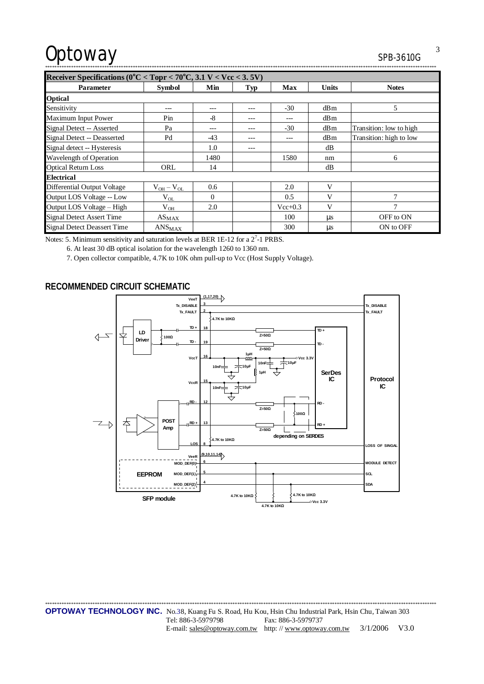| Receiver Specifications ( $0^{\circ}$ C < Topr < 70 $^{\circ}$ C, 3.1 V < Vcc < 3.5V) |                   |          |         |             |              |                         |  |
|---------------------------------------------------------------------------------------|-------------------|----------|---------|-------------|--------------|-------------------------|--|
| <b>Parameter</b>                                                                      | <b>Symbol</b>     | Min      | Typ     | Max         | <b>Units</b> | <b>Notes</b>            |  |
| <b>Optical</b>                                                                        |                   |          |         |             |              |                         |  |
| Sensitivity                                                                           | ---               | ---      | $- - -$ | $-30$       | dBm          | 5                       |  |
| Maximum Input Power                                                                   | Pin               | -8       | ---     | ---         | dBm          |                         |  |
| Signal Detect -- Asserted                                                             | Pa                |          |         | $-30$       | dBm          | Transition: low to high |  |
| Signal Detect -- Deasserted                                                           | Pd                | $-43$    | ---     | ---         | dBm          | Transition: high to low |  |
| Signal detect -- Hysteresis                                                           |                   | 1.0      |         |             | dB           |                         |  |
| Wavelength of Operation                                                               |                   | 1480     |         | 1580        | nm           | 6                       |  |
| <b>Optical Return Loss</b>                                                            | ORL               | 14       |         |             | dB           |                         |  |
| <b>Electrical</b>                                                                     |                   |          |         |             |              |                         |  |
| <b>Differential Output Voltage</b>                                                    | $V_{OH} - V_{OL}$ | 0.6      |         | 2.0         | V            |                         |  |
| Output LOS Voltage -- Low                                                             | $V_{OL}$          | $\Omega$ |         | 0.5         | V            | 7                       |  |
| Output LOS Voltage - High                                                             | $V_{OH}$          | 2.0      |         | $Vec{+}0.3$ | V            |                         |  |
| <b>Signal Detect Assert Time</b>                                                      | $AS_{MAX}$        |          |         | 100         | $\mu$ s      | OFF to ON               |  |
| <b>Signal Detect Deassert Time</b>                                                    | $ANS_{MAX}$       |          |         | 300         | $\mu$ s      | ON to OFF               |  |

Notes: 5. Minimum sensitivity and saturation levels at BER 1E-12 for a  $2^7$ -1 PRBS.

6. At least 30 dB optical isolation for the wavelength 1260 to 1360 nm.

7. Open collector compatible, 4.7K to 10K ohm pull-up to Vcc (Host Supply Voltage).

### **RECOMMENDED CIRCUIT SCHEMATIC**



\*\*\*\*\*\*\*\*\*\*\*\*\*\*\*\*\*\*\*\*\*\*\*\*\*\*\*\*\*\*\*\*\*\*\*\*\*\*\*\*\*\*\*\*\*\*\*\*\*\*\*\*\*\*\*\*\*\*\*\*\*\*\*\*\*\*\*\*\*\*\*\*\*\*\*\*\*\*\*\*\*\*\*\*\*\*\*\*\*\*\*\*\*\*\*\*\*\*\*\*\*\*\*\*\*\*\*\*\*\*\*\*\*\*\*\*\*\*\*\*\*\*\*\*\*\*\*\*\*\*\*\*\*\*\*\*\*\*\*\*\*\*\*\*\*\*\*\*\*\*\*\*\*\*\*\*\*\*\*\*\*\*\*\*\* **OPTOWAY TECHNOLOGY INC.** No.38, Kuang Fu S. Road, Hu Kou, Hsin Chu Industrial Park, Hsin Chu, Taiwan 303 Tel: 886-3-5979798 Fax: 886-3-5979737 E-mail: [sales@optoway.com.tw](mailto:sales@optoway.com.tw) http: // [www.optoway.com.tw](http://www.optoway.com.tw) 3/1/2006 V3.0

3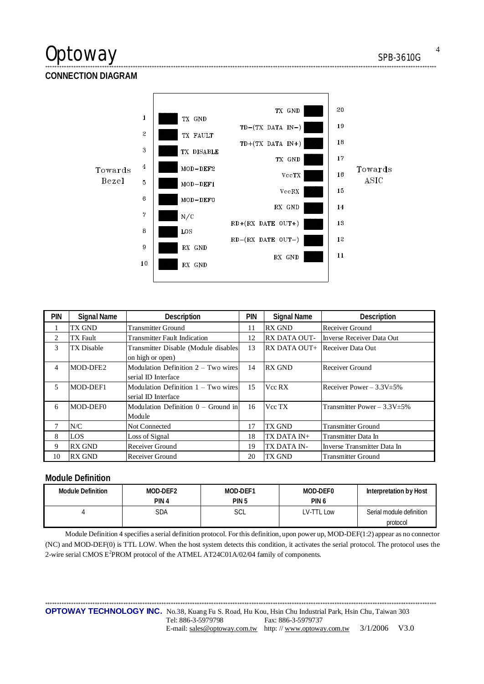## Optoway

SPB-3610G

## **CONNECTION DIAGRAM**



| <b>PIN</b> | <b>Signal Name</b> | Description                           | <b>PIN</b> | <b>Signal Name</b>  | <b>Description</b>                 |
|------------|--------------------|---------------------------------------|------------|---------------------|------------------------------------|
|            | TX GND             | <b>Transmitter Ground</b>             | 11         | <b>RX GND</b>       | Receiver Ground                    |
| 2          | TX Fault           | <b>Transmitter Fault Indication</b>   | 12         | <b>RX DATA OUT-</b> | Inverse Receiver Data Out          |
| 3          | TX Disable         | Transmitter Disable (Module disables  | 13         | RX DATA OUT+        | Receiver Data Out                  |
|            |                    | on high or open)                      |            |                     |                                    |
| 4          | MOD-DFE2           | Modulation Definition $2 - Two wires$ | 14         | <b>RX GND</b>       | Receiver Ground                    |
|            |                    | serial ID Interface                   |            |                     |                                    |
| 5          | MOD-DEF1           | Modulation Definition 1 – Two wires   | 15         | Vcc RX              | Receiver Power $-3.3V \pm 5\%$     |
|            |                    | serial ID Interface                   |            |                     |                                    |
| 6          | MOD-DEF0           | Modulation Definition $0 -$ Ground in | 16         | Vcc TX              | Transmitter Power - $3.3V \pm 5\%$ |
|            |                    | Module                                |            |                     |                                    |
|            | N/C                | <b>Not Connected</b>                  | 17         | TX GND              | <b>Transmitter Ground</b>          |
| 8          | LOS                | Loss of Signal                        | 18         | TX DATA IN+         | Transmitter Data In                |
| 9          | <b>RX GND</b>      | Receiver Ground                       | 19         | TX DATA IN-         | Inverse Transmitter Data In        |
| 10         | <b>RX GND</b>      | Receiver Ground                       | 20         | TX GND              | <b>Transmitter Ground</b>          |

### **Module Definition**

| Module Definition | MOD-DEF2 | MOD-DEF1         | MOD-DEF0         | Interpretation by Host   |  |
|-------------------|----------|------------------|------------------|--------------------------|--|
|                   | PIN 4    | PIN <sub>5</sub> | PIN <sub>6</sub> |                          |  |
|                   | SDA      | SCL              | LV-TTL Low       | Serial module definition |  |
|                   |          |                  |                  | protocol                 |  |

Module Definition 4 specifies a serial definition protocol. For this definition, upon power up, MOD-DEF(1:2) appear as no connector (NC) and MOD-DEF(0) is TTL LOW. When the host system detects this condition, it activates the serial protocol. The protocol uses the 2-wire serial CMOS E<sup>2</sup>PROM protocol of the ATMEL AT24C01A/02/04 family of components.

OPTOWAY TECHNOLOGY INC. No.38, Kuang Fu S. Road, Hu Kou, Hsin Chu Industrial Park, Hsin Chu, Taiwan 303 Tel: 886-3-5979798 Fax: 886-3-5979737 3/1/2006 V3.0 E-mail: sales@optoway.com.tw http://www.optoway.com.tw

 $\overline{4}$